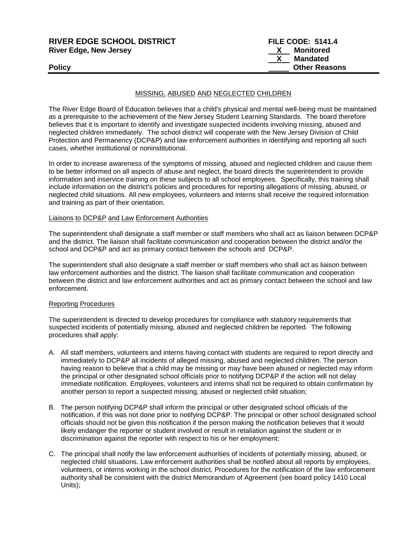| <b>RIVER EDGE SCHOOL DISTRICT</b> | <b>FILE CODE: 5141.4</b> |
|-----------------------------------|--------------------------|
| <b>River Edge, New Jersey</b>     | Monitored                |
|                                   | Mandated                 |
| <b>Policy</b>                     | <b>Other Reasons</b>     |
|                                   |                          |

## MISSING, ABUSED AND NEGLECTED CHILDREN

The River Edge Board of Education believes that a child's physical and mental well-being must be maintained as a prerequisite to the achievement of the New Jersey Student Learning Standards. The board therefore believes that it is important to identify and investigate suspected incidents involving missing, abused and neglected children immediately. The school district will cooperate with the New Jersey Division of Child Protection and Permanency (DCP&P) and law enforcement authorities in identifying and reporting all such cases, whether institutional or noninstitutional.

In order to increase awareness of the symptoms of missing, abused and neglected children and cause them to be better informed on all aspects of abuse and neglect, the board directs the superintendent to provide information and inservice training on these subjects to all school employees. Specifically, this training shall include information on the district's policies and procedures for reporting allegations of missing, abused, or neglected child situations. All new employees, volunteers and interns shall receive the required information and training as part of their orientation.

### **Liaisons to DCP&P and Law Enforcement Authorities**

The superintendent shall designate a staff member or staff members who shall act as liaison between DCP&P and the district. The liaison shall facilitate communication and cooperation between the district and/or the school and DCP&P and act as primary contact between the schools and DCP&P.

The superintendent shall also designate a staff member or staff members who shall act as liaison between law enforcement authorities and the district. The liaison shall facilitate communication and cooperation between the district and law enforcement authorities and act as primary contact between the school and law enforcement.

#### Reporting Procedures

The superintendent is directed to develop procedures for compliance with statutory requirements that suspected incidents of potentially missing, abused and neglected children be reported. The following procedures shall apply:

- A. All staff members, volunteers and interns having contact with students are required to report directly and immediately to DCP&P all incidents of alleged missing, abused and neglected children. The person having reason to believe that a child may be missing or may have been abused or neglected may inform the principal or other designated school officials prior to notifying DCP&P if the action will not delay immediate notification. Employees, volunteers and interns shall not be required to obtain confirmation by another person to report a suspected missing, abused or neglected child situation;
- B. The person notifying DCP&P shall inform the principal or other designated school officials of the notification, if this was not done prior to notifying DCP&P. The principal or other school designated school officials should not be given this notification if the person making the notification believes that it would likely endanger the reporter or student involved or result in retaliation against the student or in discrimination against the reporter with respect to his or her employment;
- C. The principal shall notify the law enforcement authorities of incidents of potentially missing, abused, or neglected child situations. Law enforcement authorities shall be notified about all reports by employees, volunteers, or interns working in the school district. Procedures for the notification of the law enforcement authority shall be consistent with the district Memorandum of Agreement (see board policy 1410 Local Units);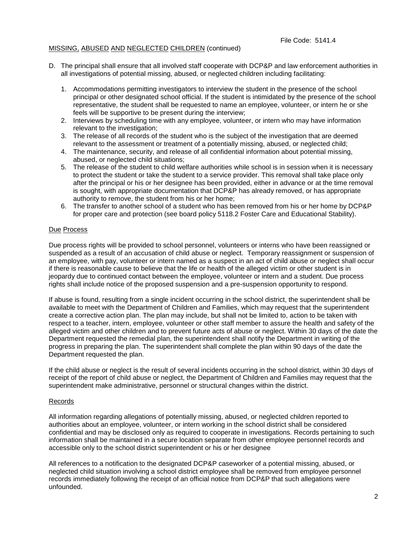# MISSING, ABUSED AND NEGLECTED CHILDREN (continued)

- D. The principal shall ensure that all involved staff cooperate with DCP&P and law enforcement authorities in all investigations of potential missing, abused, or neglected children including facilitating:
	- 1. Accommodations permitting investigators to interview the student in the presence of the school principal or other designated school official. If the student is intimidated by the presence of the school representative, the student shall be requested to name an employee, volunteer, or intern he or she feels will be supportive to be present during the interview;
	- 2. Interviews by scheduling time with any employee, volunteer, or intern who may have information relevant to the investigation:
	- 3. The release of all records of the student who is the subject of the investigation that are deemed relevant to the assessment or treatment of a potentially missing, abused, or neglected child;
	- 4. The maintenance, security, and release of all confidential information about potential missing, abused, or neglected child situations;
	- 5. The release of the student to child welfare authorities while school is in session when it is necessary to protect the student or take the student to a service provider. This removal shall take place only after the principal or his or her designee has been provided, either in advance or at the time removal is sought, with appropriate documentation that DCP&P has already removed, or has appropriate authority to remove, the student from his or her home;
	- 6. The transfer to another school of a student who has been removed from his or her home by DCP&P for proper care and protection (see board policy 5118.2 Foster Care and Educational Stability).

## Due Process

Due process rights will be provided to school personnel, volunteers or interns who have been reassigned or suspended as a result of an accusation of child abuse or neglect. Temporary reassignment or suspension of an employee, with pay, volunteer or intern named as a suspect in an act of child abuse or neglect shall occur if there is reasonable cause to believe that the life or health of the alleged victim or other student is in jeopardy due to continued contact between the employee, volunteer or intern and a student. Due process rights shall include notice of the proposed suspension and a pre-suspension opportunity to respond.

If abuse is found, resulting from a single incident occurring in the school district, the superintendent shall be available to meet with the Department of Children and Families, which may request that the superintendent create a corrective action plan. The plan may include, but shall not be limited to, action to be taken with respect to a teacher, intern, employee, volunteer or other staff member to assure the health and safety of the alleged victim and other children and to prevent future acts of abuse or neglect. Within 30 days of the date the Department requested the remedial plan, the superintendent shall notify the Department in writing of the progress in preparing the plan. The superintendent shall complete the plan within 90 days of the date the Department requested the plan.

If the child abuse or neglect is the result of several incidents occurring in the school district, within 30 days of receipt of the report of child abuse or neglect, the Department of Children and Families may request that the superintendent make administrative, personnel or structural changes within the district.

#### Records

All information regarding allegations of potentially missing, abused, or neglected children reported to authorities about an employee, volunteer, or intern working in the school district shall be considered confidential and may be disclosed only as required to cooperate in investigations. Records pertaining to such information shall be maintained in a secure location separate from other employee personnel records and accessible only to the school district superintendent or his or her designee

All references to a notification to the designated DCP&P caseworker of a potential missing, abused, or neglected child situation involving a school district employee shall be removed from employee personnel records immediately following the receipt of an official notice from DCP&P that such allegations were unfounded.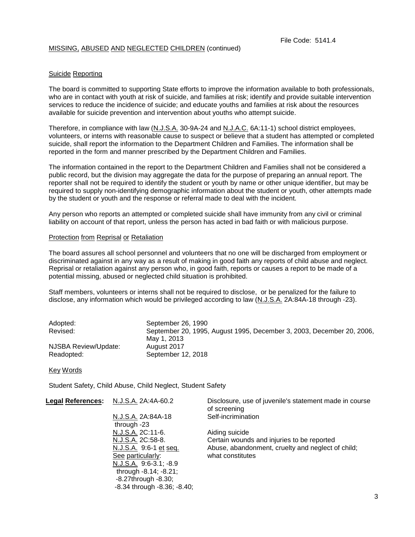## MISSING, ABUSED AND NEGLECTED CHILDREN (continued)

## Suicide Reporting

The board is committed to supporting State efforts to improve the information available to both professionals, who are in contact with youth at risk of suicide, and families at risk; identify and provide suitable intervention services to reduce the incidence of suicide; and educate youths and families at risk about the resources available for suicide prevention and intervention about youths who attempt suicide.

Therefore, in compliance with law (N.J.S.A. 30-9A-24 and N.J.A.C. 6A:11-1) school district employees, volunteers, or interns with reasonable cause to suspect or believe that a student has attempted or completed suicide, shall report the information to the Department Children and Families. The information shall be reported in the form and manner prescribed by the Department Children and Families.

The information contained in the report to the Department Children and Families shall not be considered a public record, but the division may aggregate the data for the purpose of preparing an annual report. The reporter shall not be required to identify the student or youth by name or other unique identifier, but may be required to supply non-identifying demographic information about the student or youth, other attempts made by the student or youth and the response or referral made to deal with the incident.

Any person who reports an attempted or completed suicide shall have immunity from any civil or criminal liability on account of that report, unless the person has acted in bad faith or with malicious purpose.

#### Protection from Reprisal or Retaliation

The board assures all school personnel and volunteers that no one will be discharged from employment or discriminated against in any way as a result of making in good faith any reports of child abuse and neglect. Reprisal or retaliation against any person who, in good faith, reports or causes a report to be made of a potential missing, abused or neglected child situation is prohibited.

Staff members, volunteers or interns shall not be required to disclose, or be penalized for the failure to disclose, any information which would be privileged according to law (N.J.S.A. 2A:84A-18 through -23).

| Adopted:             | September 26, 1990                                                    |
|----------------------|-----------------------------------------------------------------------|
| Revised:             | September 20, 1995, August 1995, December 3, 2003, December 20, 2006, |
|                      | May 1, 2013                                                           |
| NJSBA Review/Update: | August 2017                                                           |
| Readopted:           | September 12, 2018                                                    |

Key Words

Student Safety, Child Abuse, Child Neglect, Student Safety

| <b>Legal References:</b>                    | N.J.S.A. 2A:4A-60.2                 | Disclosure, use of juvenile's statement made in course<br>of screening |
|---------------------------------------------|-------------------------------------|------------------------------------------------------------------------|
|                                             | N.J.S.A. 2A:84A-18<br>through -23   | Self-incrimination                                                     |
|                                             | N.J.S.A. 2C:11-6.                   | Aiding suicide                                                         |
|                                             | N.J.S.A. 2C:58-8.                   | Certain wounds and injuries to be reported                             |
|                                             | N.J.S.A. 9:6-1 et seq.              | Abuse, abandonment, cruelty and neglect of child;                      |
| See particularly:<br>N.J.S.A. 9:6-3.1; -8.9 |                                     | what constitutes                                                       |
|                                             |                                     |                                                                        |
|                                             | through -8.14; -8.21;               |                                                                        |
|                                             | $-8.27$ through $-8.30$ ;           |                                                                        |
|                                             | $-8.34$ through $-8.36$ ; $-8.40$ ; |                                                                        |